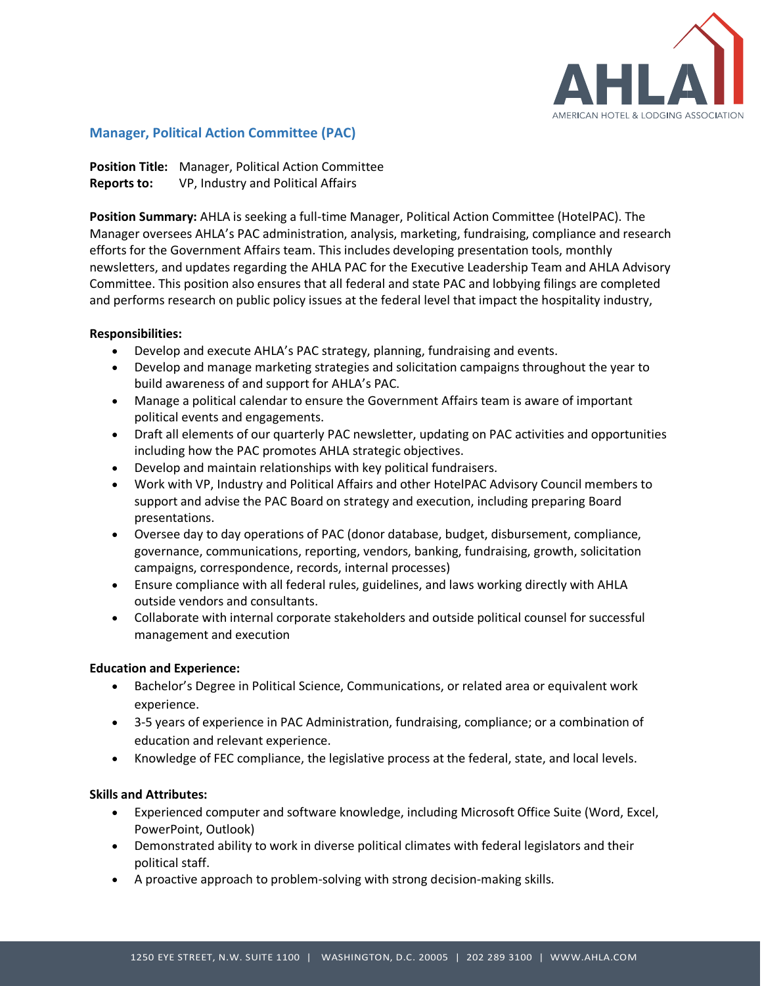

# **Manager, Political Action Committee (PAC)**

**Position Title:** Manager, Political Action Committee **Reports to:** VP, Industry and Political Affairs

**Position Summary:** AHLA is seeking a full-time Manager, Political Action Committee (HotelPAC). The Manager oversees AHLA's PAC administration, analysis, marketing, fundraising, compliance and research efforts for the Government Affairs team. This includes developing presentation tools, monthly newsletters, and updates regarding the AHLA PAC for the Executive Leadership Team and AHLA Advisory Committee. This position also ensures that all federal and state PAC and lobbying filings are completed and performs research on public policy issues at the federal level that impact the hospitality industry,

### **Responsibilities:**

- Develop and execute AHLA's PAC strategy, planning, fundraising and events.
- Develop and manage marketing strategies and solicitation campaigns throughout the year to build awareness of and support for AHLA's PAC.
- Manage a political calendar to ensure the Government Affairs team is aware of important political events and engagements.
- Draft all elements of our quarterly PAC newsletter, updating on PAC activities and opportunities including how the PAC promotes AHLA strategic objectives.
- Develop and maintain relationships with key political fundraisers.
- Work with VP, Industry and Political Affairs and other HotelPAC Advisory Council members to support and advise the PAC Board on strategy and execution, including preparing Board presentations.
- Oversee day to day operations of PAC (donor database, budget, disbursement, compliance, governance, communications, reporting, vendors, banking, fundraising, growth, solicitation campaigns, correspondence, records, internal processes)
- Ensure compliance with all federal rules, guidelines, and laws working directly with AHLA outside vendors and consultants.
- Collaborate with internal corporate stakeholders and outside political counsel for successful management and execution

## **Education and Experience:**

- Bachelor's Degree in Political Science, Communications, or related area or equivalent work experience.
- 3-5 years of experience in PAC Administration, fundraising, compliance; or a combination of education and relevant experience.
- Knowledge of FEC compliance, the legislative process at the federal, state, and local levels.

## **Skills and Attributes:**

- Experienced computer and software knowledge, including Microsoft Office Suite (Word, Excel, PowerPoint, Outlook)
- Demonstrated ability to work in diverse political climates with federal legislators and their political staff.
- A proactive approach to problem-solving with strong decision-making skills.